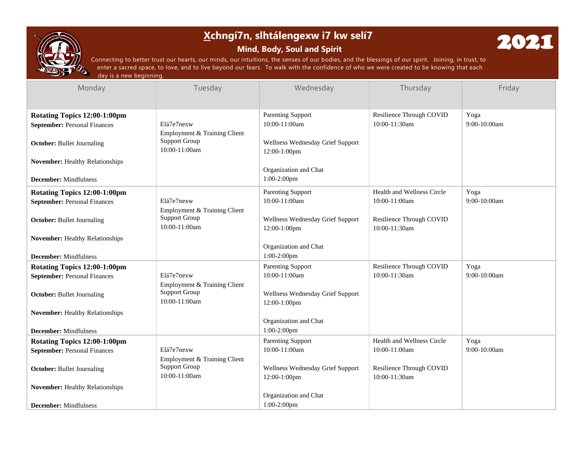

# **Xchngí7n, slhtálengexw i7 kw selí7**

# **Mind, Body, Soul and Spirit**



Connecting to better trust our hearts, our minds, our intuitions, the senses of our bodies, and the blessings of our spirit. Joining, in trust, to enter a sacred space, to love, and to live beyond our fears. To walk with the confidence of who we were created to be knowing that each day is a new beginning.

| Monday                                                                                                   | Tuesday                                                                             | Wednesday                                                                                       | Thursday                                       | Friday                 |
|----------------------------------------------------------------------------------------------------------|-------------------------------------------------------------------------------------|-------------------------------------------------------------------------------------------------|------------------------------------------------|------------------------|
|                                                                                                          |                                                                                     |                                                                                                 |                                                |                        |
| Rotating Topics 12:00-1:00pm<br><b>September: Personal Finances</b><br><b>October:</b> Bullet Journaling | Elá7e7nexw<br>Employment & Training Client<br><b>Support Group</b><br>10:00-11:00am | <b>Parenting Support</b><br>$10:00-11:00am$<br>Wellness Wednesday Grief Support<br>12:00-1:00pm | Resilience Through COVID<br>$10:00 - 11:30$ am | Yoga<br>$9:00-10:00am$ |
| <b>November:</b> Healthy Relationships<br><b>December:</b> Mindfulness                                   |                                                                                     | Organization and Chat<br>$1:00-2:00$ pm                                                         |                                                |                        |
| Rotating Topics 12:00-1:00pm                                                                             |                                                                                     | <b>Parenting Support</b>                                                                        | Health and Wellness Circle                     | Yoga                   |
| <b>September: Personal Finances</b>                                                                      | Elá7e7nexw<br>Employment & Training Client                                          | 10:00-11:00am                                                                                   | 10:00-11:00am                                  | 9:00-10:00am           |
| <b>October:</b> Bullet Journaling                                                                        | <b>Support Group</b><br>10:00-11:00am                                               | Wellness Wednesday Grief Support<br>12:00-1:00pm                                                | Resilience Through COVID<br>10:00-11:30am      |                        |
| <b>November:</b> Healthy Relationships                                                                   |                                                                                     | Organization and Chat                                                                           |                                                |                        |
| <b>December:</b> Mindfulness                                                                             |                                                                                     | $1:00-2:00$ pm                                                                                  |                                                |                        |
| Rotating Topics 12:00-1:00pm                                                                             | Elá7e7nexw                                                                          | <b>Parenting Support</b><br>10:00-11:00am                                                       | Resilience Through COVID<br>10:00-11:30am      | Yoga<br>9:00-10:00am   |
| <b>September: Personal Finances</b><br><b>October:</b> Bullet Journaling                                 | Employment & Training Client<br><b>Support Group</b><br>$10:00-11:00am$             | Wellness Wednesday Grief Support<br>12:00-1:00pm                                                |                                                |                        |
| <b>November:</b> Healthy Relationships                                                                   |                                                                                     |                                                                                                 |                                                |                        |
| <b>December:</b> Mindfulness                                                                             |                                                                                     | Organization and Chat<br>1:00-2:00pm                                                            |                                                |                        |
| Rotating Topics 12:00-1:00pm                                                                             |                                                                                     | <b>Parenting Support</b>                                                                        | Health and Wellness Circle                     | Yoga                   |
| <b>September: Personal Finances</b>                                                                      | Elá7e7nexw                                                                          | 10:00-11:00am                                                                                   | 10:00-11:00am                                  | 9:00-10:00am           |
| <b>October:</b> Bullet Journaling                                                                        | Employment & Training Client<br><b>Support Group</b><br>10:00-11:00am               | Wellness Wednesday Grief Support<br>12:00-1:00pm                                                | Resilience Through COVID<br>10:00-11:30am      |                        |
| November: Healthy Relationships                                                                          |                                                                                     |                                                                                                 |                                                |                        |
| <b>December:</b> Mindfulness                                                                             |                                                                                     | Organization and Chat<br>$1:00-2:00$ pm                                                         |                                                |                        |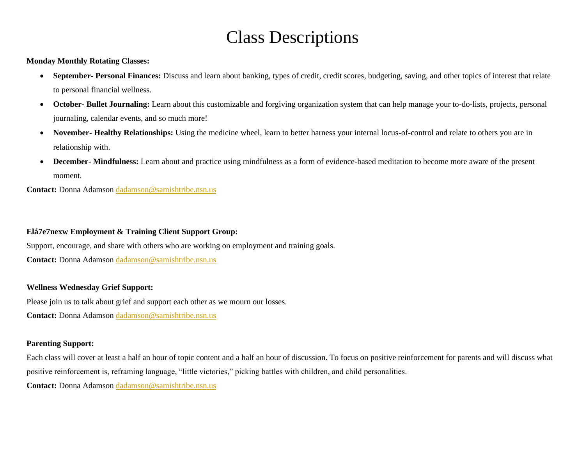# Class Descriptions

**Monday Monthly Rotating Classes:**

- **September- Personal Finances:** Discuss and learn about banking, types of credit, credit scores, budgeting, saving, and other topics of interest that relate to personal financial wellness.
- **October- Bullet Journaling:** Learn about this customizable and forgiving organization system that can help manage your to-do-lists, projects, personal journaling, calendar events, and so much more!
- **November- Healthy Relationships:** Using the medicine wheel, learn to better harness your internal locus-of-control and relate to others you are in relationship with.
- **December- Mindfulness:** Learn about and practice using mindfulness as a form of evidence-based meditation to become more aware of the present moment.

**Contact:** Donna Adamso[n dadamson@samishtribe.nsn.us](mailto:dadamson@samishtribe.nsn.us)

## **Elá7e7nexw Employment & Training Client Support Group:**

Support, encourage, and share with others who are working on employment and training goals.

Contact: Donna Adamso[n dadamson@samishtribe.nsn.us](mailto:dadamson@samishtribe.nsn.us)

### **Wellness Wednesday Grief Support:**

Please join us to talk about grief and support each other as we mourn our losses.

Contact: Donna Adamso[n dadamson@samishtribe.nsn.us](mailto:dadamson@samishtribe.nsn.us)

## **Parenting Support:**

Each class will cover at least a half an hour of topic content and a half an hour of discussion. To focus on positive reinforcement for parents and will discuss what positive reinforcement is, reframing language, "little victories," picking battles with children, and child personalities.

**Contact:** Donna Adamso[n dadamson@samishtribe.nsn.us](mailto:dadamson@samishtribe.nsn.us)